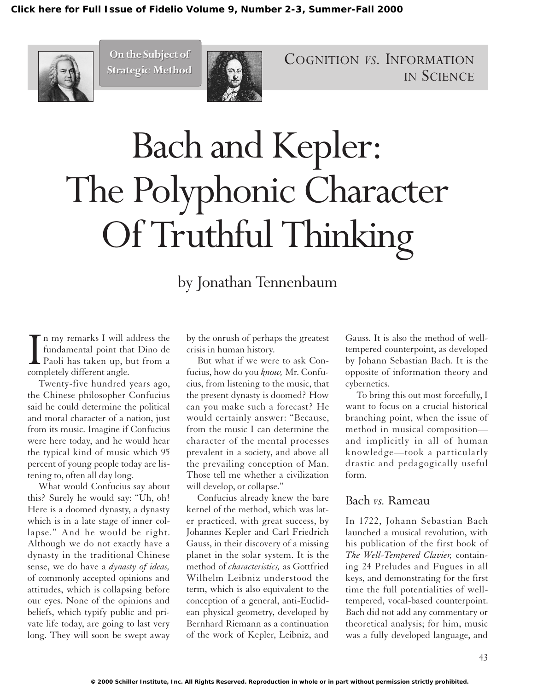

**On the Subject of On the Subject of Strategic Method Strategic Method**



COGNITION *VS.* INFORMATION IN SCIENCE

# Bach and Kepler: The Polyphonic Character Of Truthful Thinking

# by Jonathan Tennenbaum

I n my remarks I will a<br>fundamental point tha<br>Paoli has taken up, b<br>completely different angle. n my remarks I will address the fundamental point that Dino de Paoli has taken up, but from a

Twenty-five hundred years ago, the Chinese philosopher Confucius said he could determine the political and moral character of a nation, just from its music. Imagine if Confucius were here today, and he would hear the typical kind of music which 95 percent of young people today are listening to, often all day long.

What would Confucius say about this? Surely he would say: "Uh, oh! Here is a doomed dynasty, a dynasty which is in a late stage of inner collapse." And he would be right. Although we do not exactly have a dynasty in the traditional Chinese sense, we do have a *dynasty of ideas,* of commonly accepted opinions and attitudes, which is collapsing before our eyes. None of the opinions and beliefs, which typify public and private life today, are going to last very long. They will soon be swept away

by the onrush of perhaps the greatest crisis in human history.

But what if we were to ask Confucius, how do you *know,* Mr. Confucius, from listening to the music, that the present dynasty is doomed? How can you make such a forecast? He would certainly answer: "Because, from the music I can determine the character of the mental processes prevalent in a society, and above all the prevailing conception of Man. Those tell me whether a civilization will develop, or collapse."

Confucius already knew the bare kernel of the method, which was later practiced, with great success, by Johannes Kepler and Carl Friedrich Gauss, in their discovery of a missing planet in the solar system. It is the method of *characteristics,* as Gottfried Wilhelm Leibniz understood the term, which is also equivalent to the conception of a general, anti-Euclidean physical geometry, developed by Bernhard Riemann as a continuation of the work of Kepler, Leibniz, and

Gauss. It is also the method of welltempered counterpoint, as developed by Johann Sebastian Bach. It is the opposite of information theory and cybernetics.

To bring this out most forcefully, I want to focus on a crucial historical branching point, when the issue of method in musical composition and implicitly in all of human knowledge—took a particularly drastic and pedagogically useful form.

#### Bach *vs.* Rameau

In 1722, Johann Sebastian Bach launched a musical revolution, with his publication of the first book of *The Well-Tempered Clavier,* containing 24 Preludes and Fugues in all keys, and demonstrating for the first time the full potentialities of welltempered, vocal-based counterpoint. Bach did not add any commentary or theoretical analysis; for him, music was a fully developed language, and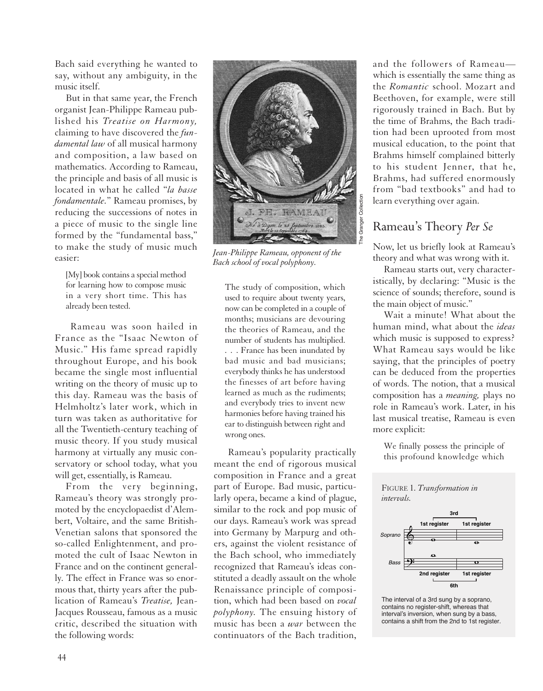Bach said everything he wanted to say, without any ambiguity, in the music itself.

But in that same year, the French organist Jean-Philippe Rameau published his *Treatise on Harmony,* claiming to have discovered the *fundamental law* of all musical harmony and composition, a law based on mathematics. According to Rameau, the principle and basis of all music is located in what he called "*la basse fondamentale.*" Rameau promises, by reducing the successions of notes in a piece of music to the single line formed by the "fundamental bass," to make the study of music much easier:

[My] book contains a special method for learning how to compose music in a very short time. This has already been tested.

Rameau was soon hailed in France as the "Isaac Newton of Music." His fame spread rapidly throughout Europe, and his book became the single most influential writing on the theory of music up to this day. Rameau was the basis of Helmholtz's later work, which in turn was taken as authoritative for all the Twentieth-century teaching of music theory. If you study musical harmony at virtually any music conservatory or school today, what you will get, essentially, is Rameau.

From the very beginning, Rameau's theory was strongly promoted by the encyclopaedist d'Alembert, Voltaire, and the same British-Venetian salons that sponsored the so-called Enlightenment, and promoted the cult of Isaac Newton in France and on the continent generally. The effect in France was so enormous that, thirty years after the publication of Rameau's *Treatise,* Jean-Jacques Rousseau, famous as a music critic, described the situation with the following words:



*Jean-Philippe Rameau, opponent of the Bach school of vocal polyphony.*

The study of composition, which used to require about twenty years, now can be completed in a couple of months; musicians are devouring the theories of Rameau, and the number of students has multiplied. . . . France has been inundated by bad music and bad musicians; everybody thinks he has understood the finesses of art before having learned as much as the rudiments; and everybody tries to invent new harmonies before having trained his ear to distinguish between right and wrong ones.

Rameau's popularity practically meant the end of rigorous musical composition in France and a great part of Europe. Bad music, particularly opera, became a kind of plague, similar to the rock and pop music of our days. Rameau's work was spread into Germany by Marpurg and others, against the violent resistance of the Bach school, who immediately recognized that Rameau's ideas constituted a deadly assault on the whole Renaissance principle of composition, which had been based on *vocal polyphony.* The ensuing history of music has been a *war* between the continuators of the Bach tradition,

and the followers of Rameau which is essentially the same thing as the *Romantic* school. Mozart and Beethoven, for example, were still rigorously trained in Bach. But by the time of Brahms, the Bach tradition had been uprooted from most musical education, to the point that Brahms himself complained bitterly to his student Jenner, that he, Brahms, had suffered enormously from "bad textbooks" and had to learn everything over again.

# Rameau's Theory *Per Se*

The Granger Collection

Now, let us briefly look at Rameau's theory and what was wrong with it.

Rameau starts out, very characteristically, by declaring: "Music is the science of sounds; therefore, sound is the main object of music."

Wait a minute! What about the human mind, what about the *ideas* which music is supposed to express? What Rameau says would be like saying, that the principles of poetry can be deduced from the properties of words. The notion, that a musical composition has a *meaning,* plays no role in Rameau's work. Later, in his last musical treatise, Rameau is even more explicit:

We finally possess the principle of this profound knowledge which

FIGURE 1. *Transformation in intervals.* 



The interval of a 3rd sung by a soprano, contains no register-shift, whereas that interval's inversion, when sung by a bass, contains a shift from the 2nd to 1st register.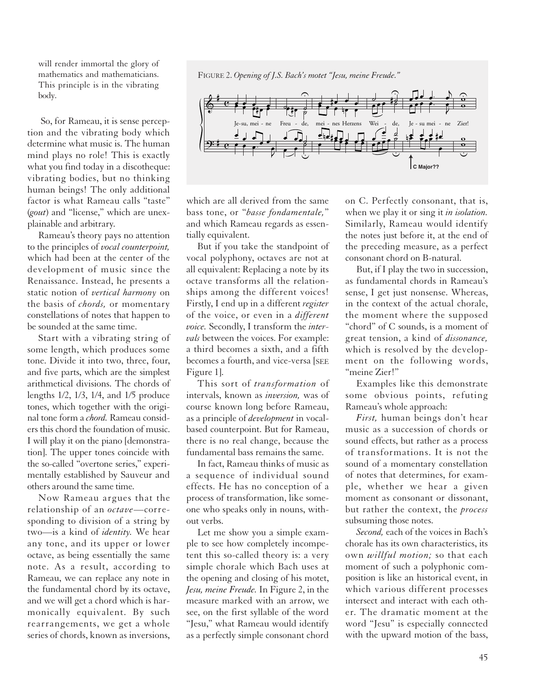will render immortal the glory of mathematics and mathematicians. This principle is in the vibrating body.

So, for Rameau, it is sense perception and the vibrating body which determine what music is. The human mind plays no role! This is exactly what you find today in a discotheque: vibrating bodies, but no thinking human beings! The only additional factor is what Rameau calls "taste" (*gout*) and "license," which are unexplainable and arbitrary.

Rameau's theory pays no attention to the principles of *vocal counterpoint,* which had been at the center of the development of music since the Renaissance. Instead, he presents a static notion of *vertical harmony* on the basis of *chords,* or momentary constellations of notes that happen to be sounded at the same time.

Start with a vibrating string of some length, which produces some tone. Divide it into two, three, four, and five parts, which are the simplest arithmetical divisions. The chords of lengths 1/2, 1/3, 1/4, and 1/5 produce tones, which together with the original tone form a *chord.* Rameau considers this chord the foundation of music. I will play it on the piano [demonstration]. The upper tones coincide with the so-called "overtone series," experimentally established by Sauveur and others around the same time.

Now Rameau argues that the relationship of an *octave*—corresponding to division of a string by two—is a kind of *identity.* We hear any tone, and its upper or lower octave, as being essentially the same note. As a result, according to Rameau, we can replace any note in the fundamental chord by its octave, and we will get a chord which is harmonically equivalent. By such rearrangements, we get a whole series of chords, known as inversions,

FIGURE 2. *Opening of J.S. Bach's motet "Jesu, meine Freude."*



which are all derived from the same bass tone, or "*basse fondamentale,*" and which Rameau regards as essentially equivalent.

But if you take the standpoint of vocal polyphony, octaves are not at all equivalent: Replacing a note by its octave transforms all the relationships among the different voices! Firstly, I end up in a different *register* of the voice, or even in a *different voice.* Secondly, I transform the *intervals* between the voices. For example: a third becomes a sixth, and a fifth becomes a fourth, and vice-versa [SEE Figure 1].

This sort of *transformation* of intervals, known as *inversion,* was of course known long before Rameau, as a principle of *development* in vocalbased counterpoint. But for Rameau, there is no real change, because the fundamental bass remains the same.

In fact, Rameau thinks of music as a sequence of individual sound effects. He has no conception of a process of transformation, like someone who speaks only in nouns, without verbs.

Let me show you a simple example to see how completely incompetent this so-called theory is: a very simple chorale which Bach uses at the opening and closing of his motet, *Jesu, meine Freude.* In Figure 2, in the measure marked with an arrow, we see, on the first syllable of the word "Jesu," what Rameau would identify as a perfectly simple consonant chord

on C. Perfectly consonant, that is, when we play it or sing it *in isolation.* Similarly, Rameau would identify the notes just before it, at the end of the preceding measure, as a perfect consonant chord on B-natural.

But, if I play the two in succession, as fundamental chords in Rameau's sense, I get just nonsense. Whereas, in the context of the actual chorale, the moment where the supposed "chord" of C sounds, is a moment of great tension, a kind of *dissonance,* which is resolved by the development on the following words, "meine Zier!"

Examples like this demonstrate some obvious points, refuting Rameau's whole approach:

*First,* human beings don't hear music as a succession of chords or sound effects, but rather as a process of transformations. It is not the sound of a momentary constellation of notes that determines, for example, whether we hear a given moment as consonant or dissonant, but rather the context, the *process* subsuming those notes.

*Second,* each of the voices in Bach's chorale has its own characteristics, its own *willful motion;* so that each moment of such a polyphonic composition is like an historical event, in which various different processes intersect and interact with each other. The dramatic moment at the word "Jesu" is especially connected with the upward motion of the bass,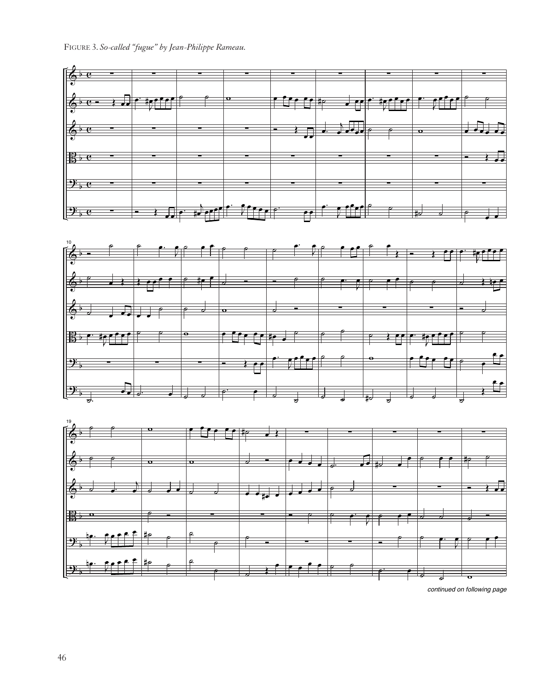

continued on following page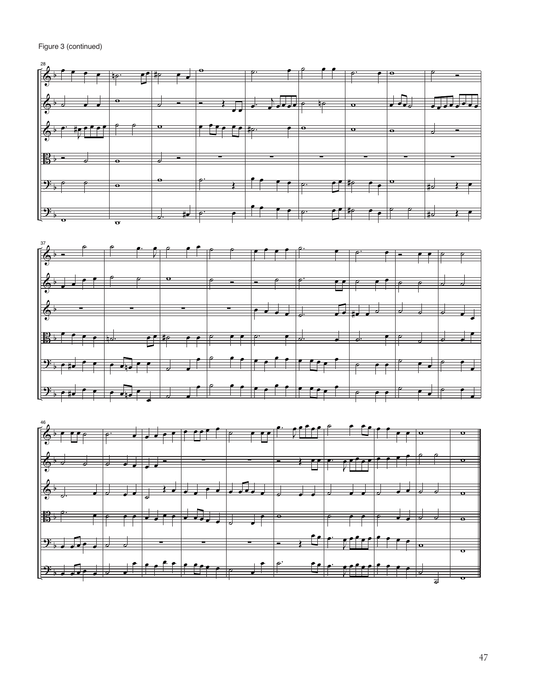Figure 3 (continued)



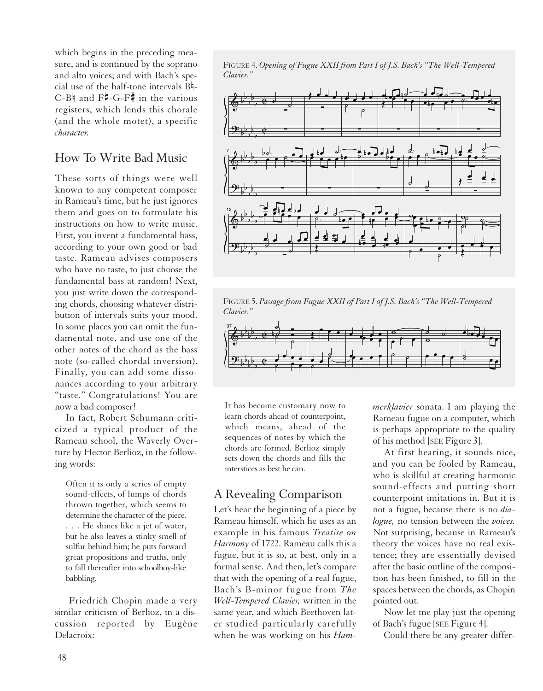which begins in the preceding measure, and is continued by the soprano and alto voices; and with Bach's special use of the half-tone intervals Bh- $C-B\nmid$  and  $F\ddot{=} -G-F\ddot{=}$  in the various registers, which lends this chorale (and the whole motet), a specific *character.*

#### How To Write Bad Music

These sorts of things were well known to any competent composer in Rameau's time, but he just ignores them and goes on to formulate his instructions on how to write music. First, you invent a fundamental bass, according to your own good or bad taste. Rameau advises composers who have no taste, to just choose the fundamental bass at random! Next, you just write down the corresponding chords, choosing whatever distribution of intervals suits your mood. In some places you can omit the fundamental note, and use one of the other notes of the chord as the bass note (so-called chordal inversion). Finally, you can add some dissonances according to your arbitrary "taste." Congratulations! You are now a bad composer!

In fact, Robert Schumann criticized a typical product of the Rameau school, the Waverly Overture by Hector Berlioz, in the following words:

Often it is only a series of empty sound-effects, of lumps of chords thrown together, which seems to determine the character of the piece. . . . He shines like a jet of water, but he also leaves a stinky smell of sulfur behind him; he puts forward great propositions and truths, only to fall thereafter into schoolboy-like babbling.

Friedrich Chopin made a very similar criticism of Berlioz, in a discussion reported by Eugène Delacroix:

FIGURE 4. *Opening of Fugue XXII from Part I of J.S. Bach's "The Well-Tempered Clavier."*



FIGURE 5. *Passage from Fugue XXII of Part I of J.S. Bach's "The Well-Tempered Clavier."*



It has become customary now to learn chords ahead of counterpoint, which means, ahead of the sequences of notes by which the chords are formed. Berlioz simply sets down the chords and fills the interstices as best he can.

# A Revealing Comparison

Let's hear the beginning of a piece by Rameau himself, which he uses as an example in his famous *Treatise on Harmony* of 1722. Rameau calls this a fugue, but it is so, at best, only in a formal sense. And then, let's compare that with the opening of a real fugue, Bach's B-minor fugue from *The Well-Tempered Clavier,* written in the same year, and which Beethoven later studied particularly carefully when he was working on his *Ham-* *merklavier* sonata. I am playing the Rameau fugue on a computer, which is perhaps appropriate to the quality of his method [SEE Figure 3].

At first hearing, it sounds nice, and you can be fooled by Rameau, who is skillful at creating harmonic sound-effects and putting short counterpoint imitations in. But it is not a fugue, because there is no *dialogue,* no tension between the *voices.* Not surprising, because in Rameau's theory the voices have no real existence; they are essentially devised after the basic outline of the composition has been finished, to fill in the spaces between the chords, as Chopin pointed out.

Now let me play just the opening of Bach's fugue [SEE Figure 4].

Could there be any greater differ-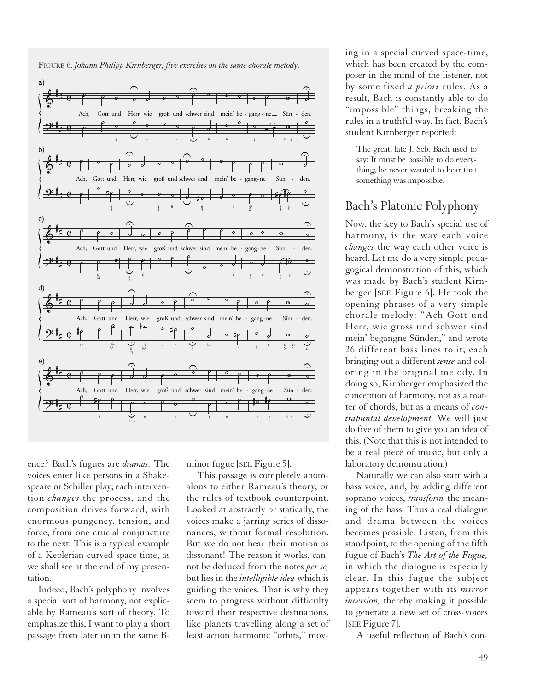FIGURE 6. *Johann Philipp Kirnberger, five exercises on the same chorale melody.*



ence? Bach's fugues are *dramas:* The voices enter like persons in a Shakespeare or Schiller play; each intervention *changes* the process, and the composition drives forward, with enormous pungency, tension, and force, from one crucial conjuncture to the next. This is a typical example of a Keplerian curved space-time, as we shall see at the end of my presentation.

Indeed, Bach's polyphony involves a special sort of harmony, not explicable by Rameau's sort of theory. To emphasize this, I want to play a short passage from later on in the same B-

minor fugue [SEE Figure 5].

This passage is completely anomalous to either Rameau's theory, or the rules of textbook counterpoint. Looked at abstractly or statically, the voices make a jarring series of dissonances, without formal resolution. But we do not hear their motion as dissonant! The reason it works, cannot be deduced from the notes *per se,* but lies in the *intelligible idea* which is guiding the voices. That is why they seem to progress without difficulty toward their respective destinations, like planets travelling along a set of least-action harmonic "orbits," mov-

ing in a special curved space-time, which has been created by the composer in the mind of the listener, not by some fixed *a priori* rules. As a result, Bach is constantly able to do "impossible" things, breaking the rules in a truthful way. In fact, Bach's student Kirnberger reported:

The great, late J. Seb. Bach used to say: It must be possible to do everything; he never wanted to hear that something was impossible.

### Bach's Platonic Polyphony

Now, the key to Bach's special use of harmony, is the way each voice *changes* the way each other voice is heard. Let me do a very simple pedagogical demonstration of this, which was made by Bach's student Kirnberger [SEE Figure 6]. He took the opening phrases of a very simple chorale melody: "Ach Gott und Herr, wie gross und schwer sind mein' begangne Sünden," and wrote 26 different bass lines to it, each bringing out a different *sense* and coloring in the original melody. In doing so, Kirnberger emphasized the conception of harmony, not as a matter of chords, but as a means of *contrapuntal development.* We will just do five of them to give you an idea of this. (Note that this is not intended to be a real piece of music, but only a laboratory demonstration.)

Naturally we can also start with a bass voice, and, by adding different soprano voices, *transform* the meaning of the bass. Thus a real dialogue and drama between the voices becomes possible. Listen, from this standpoint, to the opening of the fifth fugue of Bach's *The Art of the Fugue,* in which the dialogue is especially clear. In this fugue the subject appears together with its *mirror inversion,* thereby making it possible to generate a new set of cross-voices [SEE Figure 7].

A useful reflection of Bach's con-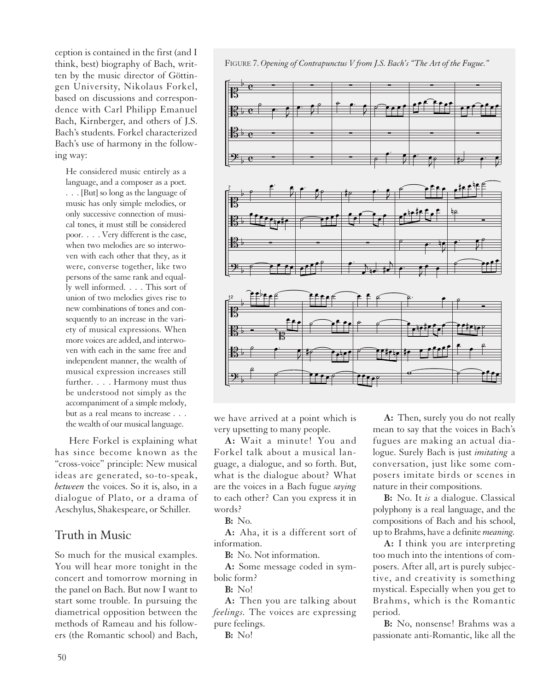ception is contained in the first (and I think, best) biography of Bach, written by the music director of Göttingen University, Nikolaus Forkel, based on discussions and correspondence with Carl Philipp Emanuel Bach, Kirnberger, and others of J.S. Bach's students. Forkel characterized Bach's use of harmony in the following way:

He considered music entirely as a language, and a composer as a poet. . . . [But] so long as the language of music has only simple melodies, or only successive connection of musical tones, it must still be considered poor. . . . Very different is the case, when two melodies are so interwoven with each other that they, as it were, converse together, like two persons of the same rank and equally well informed. . . . This sort of union of two melodies gives rise to new combinations of tones and consequently to an increase in the variety of musical expressions. When more voices are added, and interwoven with each in the same free and independent manner, the wealth of musical expression increases still further. . . . Harmony must thus be understood not simply as the accompaniment of a simple melody, but as a real means to increase . . . the wealth of our musical language.

Here Forkel is explaining what has since become known as the "cross-voice" principle: New musical ideas are generated, so-to-speak, *between* the voices. So it is, also, in a dialogue of Plato, or a drama of Aeschylus, Shakespeare, or Schiller.

#### Truth in Music

So much for the musical examples. You will hear more tonight in the concert and tomorrow morning in the panel on Bach. But now I want to start some trouble. In pursuing the diametrical opposition between the methods of Rameau and his followers (the Romantic school) and Bach,





we have arrived at a point which is very upsetting to many people.

**A:** Wait a minute! You and Forkel talk about a musical language, a dialogue, and so forth. But, what is the dialogue about? What are the voices in a Bach fugue *saying* to each other? Can you express it in words?

**B:** No.

**A:** Aha, it is a different sort of information.

**B:** No. Not information.

**A:** Some message coded in symbolic form?

**B:** No!

**A:** Then you are talking about *feelings.* The voices are expressing pure feelings.

**B:** No!

**A:** Then, surely you do not really mean to say that the voices in Bach's fugues are making an actual dialogue. Surely Bach is just *imitating* a conversation, just like some composers imitate birds or scenes in nature in their compositions.

**B:** No. It *is* a dialogue. Classical polyphony is a real language, and the compositions of Bach and his school, up to Brahms, have a definite *meaning.*

**A:** I think you are interpreting too much into the intentions of composers. After all, art is purely subjective, and creativity is something mystical. Especially when you get to Brahms, which is the Romantic period.

**B:** No, nonsense! Brahms was a passionate anti-Romantic, like all the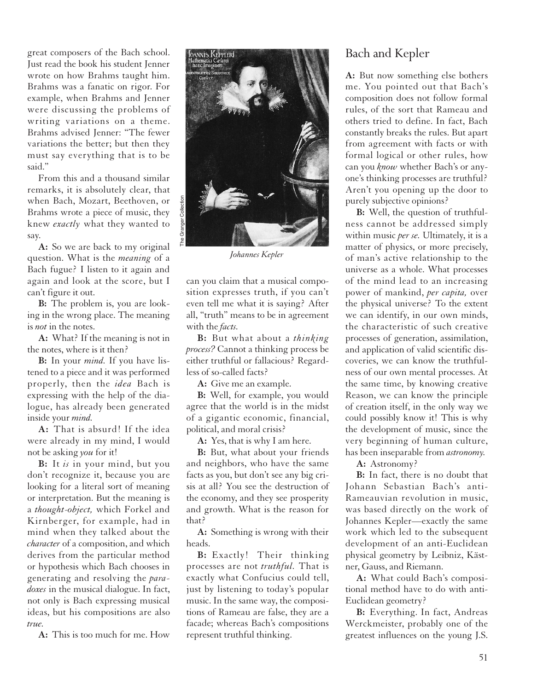great composers of the Bach school. Just read the book his student Jenner wrote on how Brahms taught him. Brahms was a fanatic on rigor. For example, when Brahms and Jenner were discussing the problems of writing variations on a theme. Brahms advised Jenner: "The fewer variations the better; but then they must say everything that is to be said."

From this and a thousand similar remarks, it is absolutely clear, that when Bach, Mozart, Beethoven, or Brahms wrote a piece of music, they knew *exactly* what they wanted to say.

**A:** So we are back to my original question. What is the *meaning* of a Bach fugue? I listen to it again and again and look at the score, but I can't figure it out.

**B:** The problem is, you are looking in the wrong place. The meaning is *not* in the notes.

**A:** What? If the meaning is not in the notes, where is it then?

**B:** In your *mind.* If you have listened to a piece and it was performed properly, then the *idea* Bach is expressing with the help of the dialogue, has already been generated inside your *mind.*

**A:** That is absurd! If the idea were already in my mind, I would not be asking *you* for it!

**B:** It *is* in your mind, but you don't recognize it, because you are looking for a literal sort of meaning or interpretation. But the meaning is a *thought-object,* which Forkel and Kirnberger, for example, had in mind when they talked about the *character* of a composition, and which derives from the particular method or hypothesis which Bach chooses in generating and resolving the *paradoxes* in the musical dialogue. In fact, not only is Bach expressing musical ideas, but his compositions are also *true.*

**A:** This is too much for me. How



*Johannes Kepler*

can you claim that a musical composition expresses truth, if you can't even tell me what it is saying? After all, "truth" means to be in agreement with the *facts.*

**B:** But what about a *thinking process?* Cannot a thinking process be either truthful or fallacious? Regardless of so-called facts?

**A:** Give me an example.

**B:** Well, for example, you would agree that the world is in the midst of a gigantic economic, financial, political, and moral crisis?

**A:** Yes, that is why I am here.

**B:** But, what about your friends and neighbors, who have the same facts as you, but don't see any big crisis at all? You see the destruction of the economy, and they see prosperity and growth. What is the reason for that?

**A:** Something is wrong with their heads.

**B:** Exactly! Their thinking processes are not *truthful.* That is exactly what Confucius could tell, just by listening to today's popular music. In the same way, the compositions of Rameau are false, they are a facade; whereas Bach's compositions represent truthful thinking.

#### Bach and Kepler

**A:** But now something else bothers me. You pointed out that Bach's composition does not follow formal rules, of the sort that Rameau and others tried to define. In fact, Bach constantly breaks the rules. But apart from agreement with facts or with formal logical or other rules, how can you *know* whether Bach's or anyone's thinking processes are truthful? Aren't you opening up the door to purely subjective opinions?

**B:** Well, the question of truthfulness cannot be addressed simply within music *per se.* Ultimately, it is a matter of physics, or more precisely, of man's active relationship to the universe as a whole. What processes of the mind lead to an increasing power of mankind, *per capita,* over the physical universe? To the extent we can identify, in our own minds, the characteristic of such creative processes of generation, assimilation, and application of valid scientific discoveries, we can know the truthfulness of our own mental processes. At the same time, by knowing creative Reason, we can know the principle of creation itself, in the only way we could possibly know it! This is why the development of music, since the very beginning of human culture, has been inseparable from *astronomy.*

**A:** Astronomy?

**B:** In fact, there is no doubt that Johann Sebastian Bach's anti-Rameauvian revolution in music, was based directly on the work of Johannes Kepler—exactly the same work which led to the subsequent development of an anti-Euclidean physical geometry by Leibniz, Kästner, Gauss, and Riemann.

**A:** What could Bach's compositional method have to do with anti-Euclidean geometry?

**B:** Everything. In fact, Andreas Werckmeister, probably one of the greatest influences on the young J.S.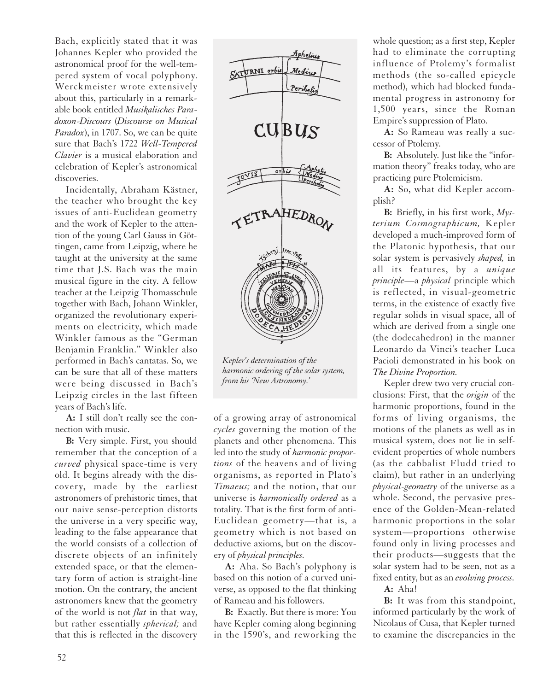Bach, explicitly stated that it was Johannes Kepler who provided the astronomical proof for the well-tempered system of vocal polyphony. Werckmeister wrote extensively about this, particularly in a remarkable book entitled *Musikalisches Paradoxon-Discours* (*Discourse on Musical Paradox*), in 1707. So, we can be quite sure that Bach's 1722 *Well-Tempered Clavier* is a musical elaboration and celebration of Kepler's astronomical discoveries.

Incidentally, Abraham Kästner, the teacher who brought the key issues of anti-Euclidean geometry and the work of Kepler to the attention of the young Carl Gauss in Göttingen, came from Leipzig, where he taught at the university at the same time that J.S. Bach was the main musical figure in the city. A fellow teacher at the Leipzig Thomasschule together with Bach, Johann Winkler, organized the revolutionary experiments on electricity, which made Winkler famous as the "German Benjamin Franklin." Winkler also performed in Bach's cantatas. So, we can be sure that all of these matters were being discussed in Bach's Leipzig circles in the last fifteen years of Bach's life.

**A:** I still don't really see the connection with music.

**B:** Very simple. First, you should remember that the conception of a *curved* physical space-time is very old. It begins already with the discovery, made by the earliest astronomers of prehistoric times, that our naive sense-perception distorts the universe in a very specific way, leading to the false appearance that the world consists of a collection of discrete objects of an infinitely extended space, or that the elementary form of action is straight-line motion. On the contrary, the ancient astronomers knew that the geometry of the world is not *flat* in that way, but rather essentially *spherical;* and that this is reflected in the discovery



*Kepler's determination of the harmonic ordering of the solar system, from his 'New Astronomy.'*

of a growing array of astronomical *cycles* governing the motion of the planets and other phenomena. This led into the study of *harmonic proportions* of the heavens and of living organisms, as reported in Plato's *Timaeus;* and the notion, that our universe is *harmonically ordered* as a totality. That is the first form of anti-Euclidean geometry—that is, a geometry which is not based on deductive axioms, but on the discovery of *physical principles.*

**A:** Aha. So Bach's polyphony is based on this notion of a curved universe, as opposed to the flat thinking of Rameau and his followers.

**B:** Exactly. But there is more: You have Kepler coming along beginning in the 1590's, and reworking the

whole question; as a first step, Kepler had to eliminate the corrupting influence of Ptolemy's formalist methods (the so-called epicycle method), which had blocked fundamental progress in astronomy for 1,500 years, since the Roman Empire's suppression of Plato.

**A:** So Rameau was really a successor of Ptolemy.

**B:** Absolutely. Just like the "information theory" freaks today, who are practicing pure Ptolemicism.

**A:** So, what did Kepler accomplish?

**B:** Briefly, in his first work, *Mysterium Cosmographicum,* Kepler developed a much-improved form of the Platonic hypothesis, that our solar system is pervasively *shaped,* in all its features, by a *unique principle*—a *physical* principle which is reflected, in visual-geometric terms, in the existence of exactly five regular solids in visual space, all of which are derived from a single one (the dodecahedron) in the manner Leonardo da Vinci's teacher Luca Pacioli demonstrated in his book on *The Divine Proportion.*

Kepler drew two very crucial conclusions: First, that the *origin* of the harmonic proportions, found in the forms of living organisms, the motions of the planets as well as in musical system, does not lie in selfevident properties of whole numbers (as the cabbalist Fludd tried to claim), but rather in an underlying *physical-geometry* of the universe as a whole. Second, the pervasive presence of the Golden-Mean-related harmonic proportions in the solar system—proportions otherwise found only in living processes and their products—suggests that the solar system had to be seen, not as a fixed entity, but as an *evolving process.*

**A:** Aha!

**B:** It was from this standpoint, informed particularly by the work of Nicolaus of Cusa, that Kepler turned to examine the discrepancies in the